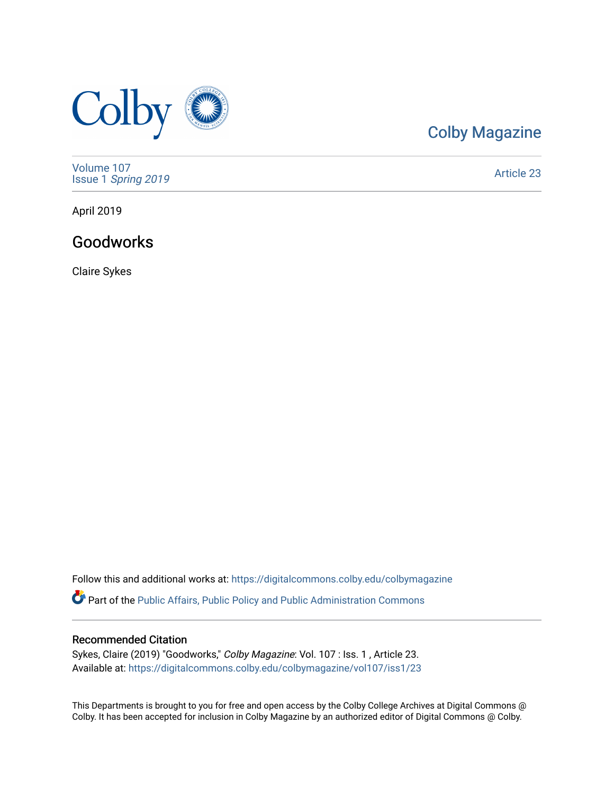

# [Colby Magazine](https://digitalcommons.colby.edu/colbymagazine)

[Volume 107](https://digitalcommons.colby.edu/colbymagazine/vol107) Issue 1 [Spring 2019](https://digitalcommons.colby.edu/colbymagazine/vol107/iss1) 

[Article 23](https://digitalcommons.colby.edu/colbymagazine/vol107/iss1/23) 

April 2019

### Goodworks

Claire Sykes

Follow this and additional works at: [https://digitalcommons.colby.edu/colbymagazine](https://digitalcommons.colby.edu/colbymagazine?utm_source=digitalcommons.colby.edu%2Fcolbymagazine%2Fvol107%2Fiss1%2F23&utm_medium=PDF&utm_campaign=PDFCoverPages) **P** Part of the Public Affairs, Public Policy and Public Administration Commons

#### Recommended Citation

Sykes, Claire (2019) "Goodworks," Colby Magazine: Vol. 107 : Iss. 1, Article 23. Available at: [https://digitalcommons.colby.edu/colbymagazine/vol107/iss1/23](https://digitalcommons.colby.edu/colbymagazine/vol107/iss1/23?utm_source=digitalcommons.colby.edu%2Fcolbymagazine%2Fvol107%2Fiss1%2F23&utm_medium=PDF&utm_campaign=PDFCoverPages)

This Departments is brought to you for free and open access by the Colby College Archives at Digital Commons @ Colby. It has been accepted for inclusion in Colby Magazine by an authorized editor of Digital Commons @ Colby.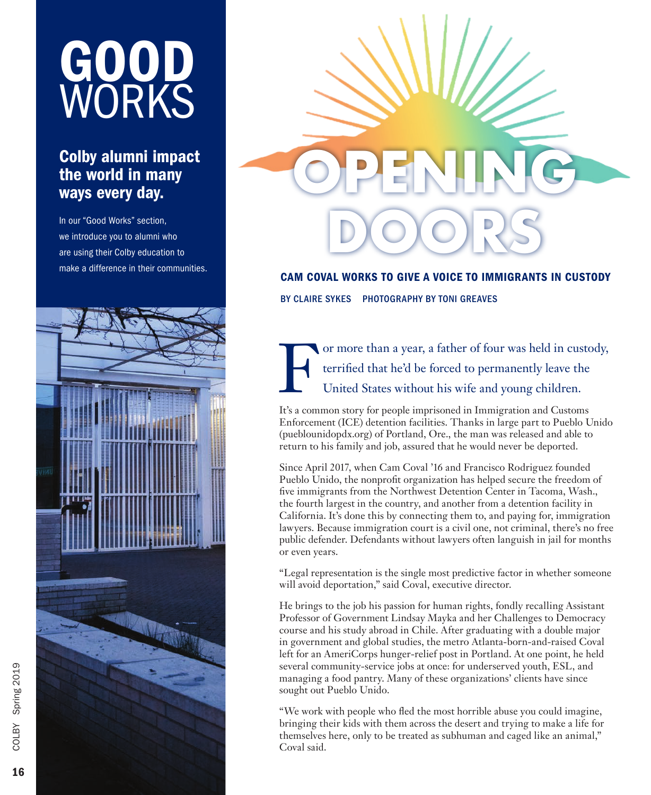# GOOD WORKS

# Colby alumni impact the world in many ways every day.

In our "Good Works" section, we introduce you to alumni who are using their Colby education to make a difference in their communities.





CAM COVAL WORKS TO GIVE A VOICE TO IMMIGRANTS IN CUSTODY

BY CLAIRE SYKES PHOTOGRAPHY BY TONI GREAVES

For more than a year, a father of four was held in custody,<br>terrified that he'd be forced to permanently leave the<br>United States without his wife and young children. terrified that he'd be forced to permanently leave the United States without his wife and young children.

It's a common story for people imprisoned in Immigration and Customs Enforcement (ICE) detention facilities. Thanks in large part to Pueblo Unido (pueblounidopdx.org) of Portland, Ore., the man was released and able to return to his family and job, assured that he would never be deported.

Since April 2017, when Cam Coval '16 and Francisco Rodriguez founded Pueblo Unido, the nonprofit organization has helped secure the freedom of five immigrants from the Northwest Detention Center in Tacoma, Wash., the fourth largest in the country, and another from a detention facility in California. It's done this by connecting them to, and paying for, immigration lawyers. Because immigration court is a civil one, not criminal, there's no free public defender. Defendants without lawyers often languish in jail for months or even years.

"Legal representation is the single most predictive factor in whether someone will avoid deportation," said Coval, executive director.

He brings to the job his passion for human rights, fondly recalling Assistant Professor of Government Lindsay Mayka and her Challenges to Democracy course and his study abroad in Chile. After graduating with a double major in government and global studies, the metro Atlanta-born-and-raised Coval left for an AmeriCorps hunger-relief post in Portland. At one point, he held several community-service jobs at once: for underserved youth, ESL, and managing a food pantry. Many of these organizations' clients have since sought out Pueblo Unido.

"We work with people who fled the most horrible abuse you could imagine, bringing their kids with them across the desert and trying to make a life for themselves here, only to be treated as subhuman and caged like an animal," Coval said.